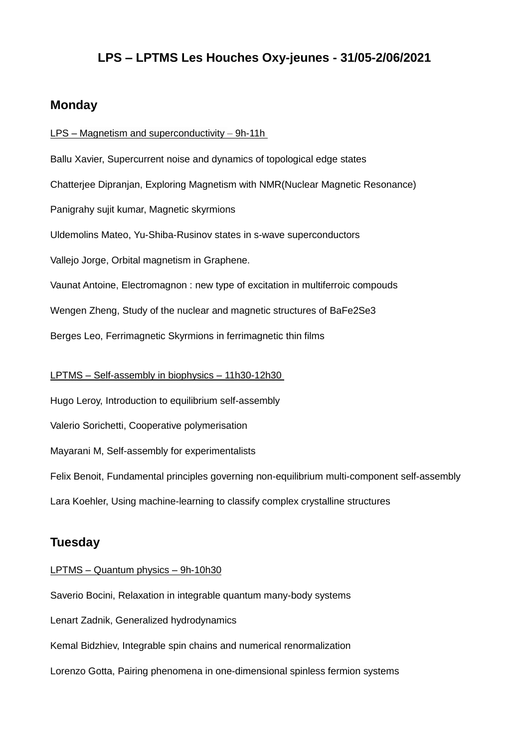# **LPS – LPTMS Les Houches Oxy-jeunes - 31/05-2/06/2021**

## **Monday**

### LPS – Magnetism and superconductivity – 9h-11h

Ballu Xavier, Supercurrent noise and dynamics of topological edge states Chatterjee Dipranjan, Exploring Magnetism with NMR(Nuclear Magnetic Resonance) Panigrahy sujit kumar, Magnetic skyrmions Uldemolins Mateo, Yu-Shiba-Rusinov states in s-wave superconductors Vallejo Jorge, Orbital magnetism in Graphene. Vaunat Antoine, Electromagnon : new type of excitation in multiferroic compouds Wengen Zheng, Study of the nuclear and magnetic structures of BaFe2Se3 Berges Leo, Ferrimagnetic Skyrmions in ferrimagnetic thin films LPTMS – Self-assembly in biophysics – 11h30-12h30 Hugo Leroy, Introduction to equilibrium self-assembly

Valerio Sorichetti, Cooperative polymerisation

Mayarani M, Self-assembly for experimentalists

Felix Benoit, Fundamental principles governing non-equilibrium multi-component self-assembly

Lara Koehler, Using machine-learning to classify complex crystalline structures

## **Tuesday**

### LPTMS – Quantum physics – 9h-10h30

Saverio Bocini, Relaxation in integrable quantum many-body systems

Lenart Zadnik, Generalized hydrodynamics

Kemal Bidzhiev, Integrable spin chains and numerical renormalization

Lorenzo Gotta, Pairing phenomena in one-dimensional spinless fermion systems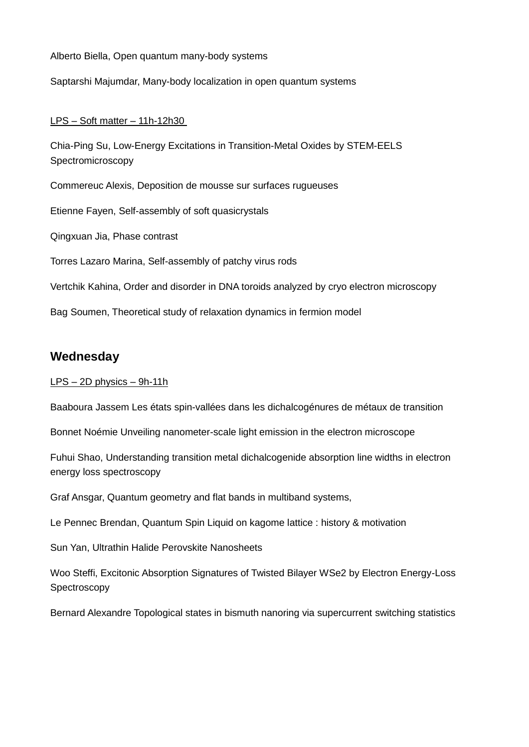#### Alberto Biella, Open quantum many-body systems

Saptarshi Majumdar, Many-body localization in open quantum systems

#### LPS – Soft matter – 11h-12h30

Chia-Ping Su, Low-Energy Excitations in Transition-Metal Oxides by STEM-EELS **Spectromicroscopy** Commereuc Alexis, Deposition de mousse sur surfaces rugueuses Etienne Fayen, Self-assembly of soft quasicrystals Qingxuan Jia, Phase contrast Torres Lazaro Marina, Self-assembly of patchy virus rods Vertchik Kahina, Order and disorder in DNA toroids analyzed by cryo electron microscopy Bag Soumen, Theoretical study of relaxation dynamics in fermion model

## **Wednesday**

#### LPS – 2D physics – 9h-11h

Baaboura Jassem Les états spin-vallées dans les dichalcogénures de métaux de transition

Bonnet Noémie Unveiling nanometer-scale light emission in the electron microscope

Fuhui Shao, Understanding transition metal dichalcogenide absorption line widths in electron energy loss spectroscopy

Graf Ansgar, Quantum geometry and flat bands in multiband systems,

Le Pennec Brendan, Quantum Spin Liquid on kagome lattice : history & motivation

Sun Yan, Ultrathin Halide Perovskite Nanosheets

Woo Steffi, Excitonic Absorption Signatures of Twisted Bilayer WSe2 by Electron Energy-Loss **Spectroscopy** 

Bernard Alexandre Topological states in bismuth nanoring via supercurrent switching statistics